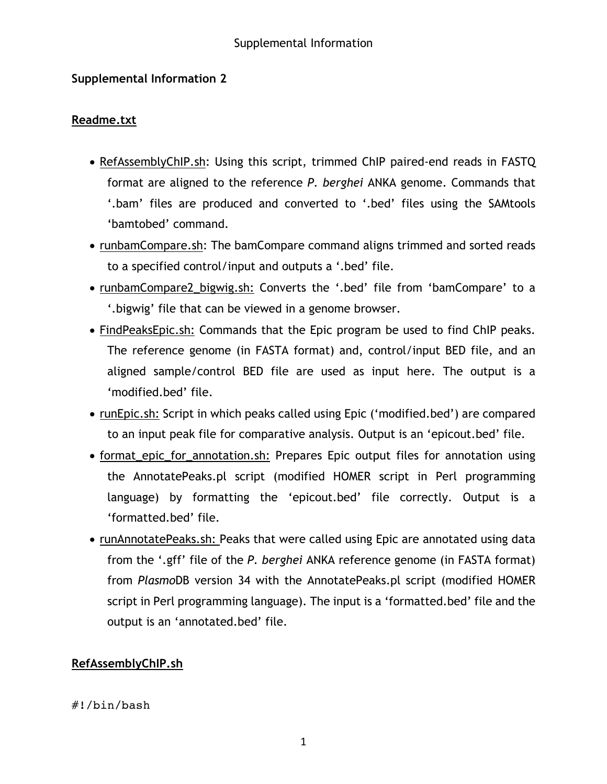# **Supplemental Information 2**

### **Readme.txt**

- RefAssemblyChIP.sh: Using this script, trimmed ChIP paired-end reads in FASTQ format are aligned to the reference *P. berghei* ANKA genome. Commands that '.bam' files are produced and converted to '.bed' files using the SAMtools 'bamtobed' command.
- runbamCompare.sh: The bamCompare command aligns trimmed and sorted reads to a specified control/input and outputs a '.bed' file.
- runbamCompare2\_bigwig.sh: Converts the '.bed' file from 'bamCompare' to a '.bigwig' file that can be viewed in a genome browser.
- FindPeaksEpic.sh: Commands that the Epic program be used to find ChIP peaks. The reference genome (in FASTA format) and, control/input BED file, and an aligned sample/control BED file are used as input here. The output is a 'modified.bed' file.
- runEpic.sh: Script in which peaks called using Epic ('modified.bed') are compared to an input peak file for comparative analysis. Output is an 'epicout.bed' file.
- format epic for annotation.sh: Prepares Epic output files for annotation using the AnnotatePeaks.pl script (modified HOMER script in Perl programming language) by formatting the 'epicout.bed' file correctly. Output is a 'formatted.bed' file.
- runAnnotatePeaks.sh: Peaks that were called using Epic are annotated using data from the '.gff' file of the *P. berghei* ANKA reference genome (in FASTA format) from *Plasmo*DB version 34 with the AnnotatePeaks.pl script (modified HOMER script in Perl programming language). The input is a 'formatted.bed' file and the output is an 'annotated.bed' file.

# **RefAssemblyChIP.sh**

### #!/bin/bash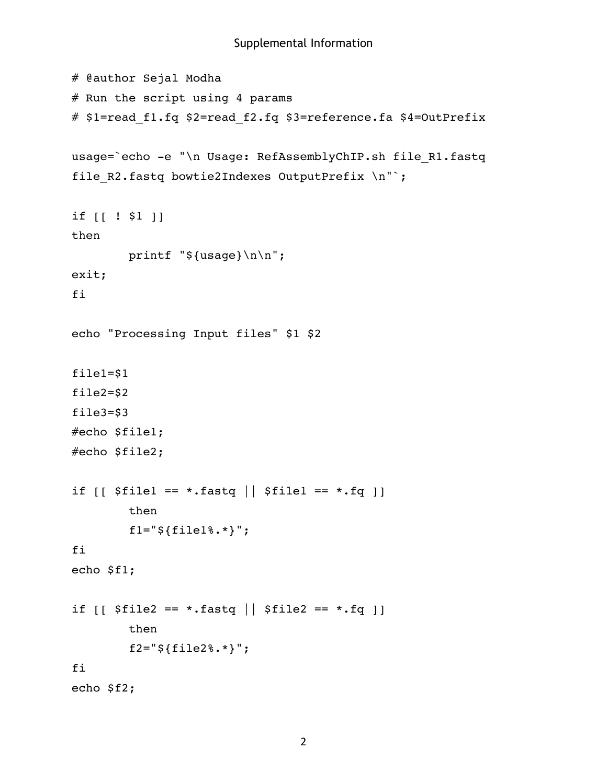```
# @author Sejal Modha 
# Run the script using 4 params
# $1=read_f1.fq $2=read_f2.fq $3=reference.fa $4=OutPrefix
usage=`echo -e "\n Usage: RefAssemblyChIP.sh file_R1.fastq 
file R2.fastq bowtie2Indexes OutputPrefix \n"`;
if [[ ! $1 ]]
then
         printf "${usage}\n\n";
exit;
fi
echo "Processing Input files" $1 $2
file1=$1
file2=$2
file3=$3
#echo $file1;
#echo $file2;
if [ $file1 == *.fastq | $file1 == *.fq ]]
         then
        f1 = "§ {file18.*} ";
fi
echo $f1;
if [ $file2 == *.fastq | $file2 == *.fq ]]
         then
         f2="${file2%.*}";
fi
echo $f2;
```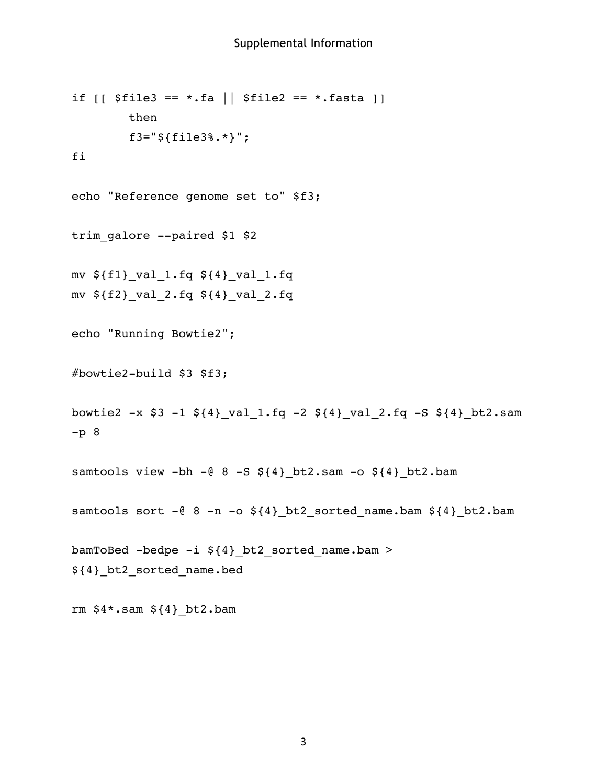```
if [ [ $file3 == *.fa | $ $file2 == *.fasta ] ]
         then
         f3="${file3%.*}";
fi
echo "Reference genome set to" $f3;
trim_galore --paired $1 $2
mv ${f1}_val_1.fq ${4}_val_1.fq
mv ${f2}_val_2.fq ${4}_val_2.fq
echo "Running Bowtie2";
#bowtie2-build $3 $f3;
bowtie2 -x $3 -1 ${4}_val_1.fq -2 ${4}_val_2.fq -S ${4}_bt2.sam 
-p 8
samtools view -bh -@ 8 -S $4}-bt2.sam -o $4}-bt2.bam
samtools sort -@ 8 -n -o ${4}_bt2_sorted_name.bam ${4}_bt2.bam
bamToBed -bedpe -i ${4}_bt2_sorted_name.bam > 
${4}_bt2_sorted_name.bed
rm $4*.sam ${4}_bt2.bam
```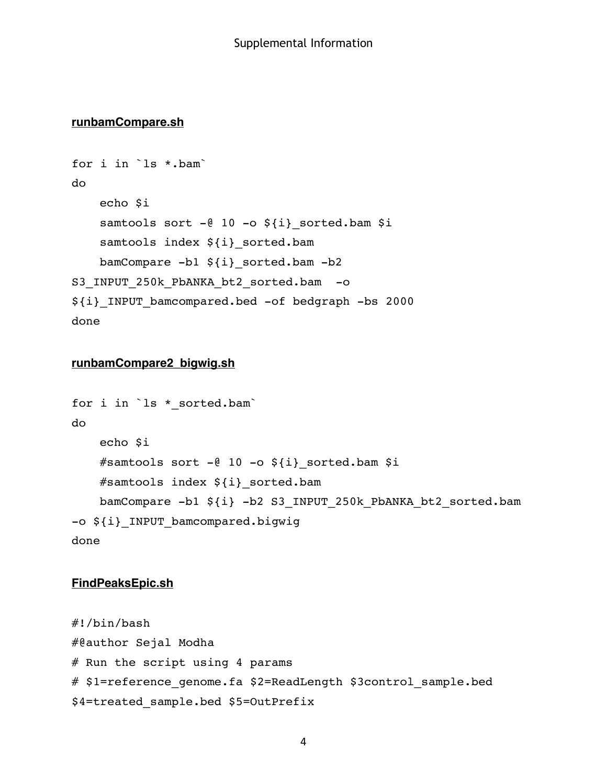#### **runbamCompare.sh**

```
for i in `ls *.bam`
do
    echo $i
    samtools sort -\ell 10 -\infty ${i} sorted.bam $i
    samtools index \S{i} sorted.bam
    bamCompare -b1 ${i}_sorted.bam -b2 
S3 INPUT 250k PbANKA bt2 sorted.bam -o
${i}_INPUT_bamcompared.bed -of bedgraph -bs 2000
done
```
# **runbamCompare2\_bigwig.sh**

```
for i in `ls * sorted.bam`
do
   echo $i
   #samtools sort -@ 10 -o ${i} sorted.bam $i
   #samtools index ${i}_sorted.bam
   bamCompare -b1 ${i} -b2 S3_INPUT_250k_PbANKA_bt2_sorted.bam 
-o ${i}_INPUT_bamcompared.bigwig 
done
```
#### **FindPeaksEpic.sh**

```
#!/bin/bash
#@author Sejal Modha 
# Run the script using 4 params
# $1=reference genome.fa $2=ReadLength $3control sample.bed
$4=treated_sample.bed $5=OutPrefix
```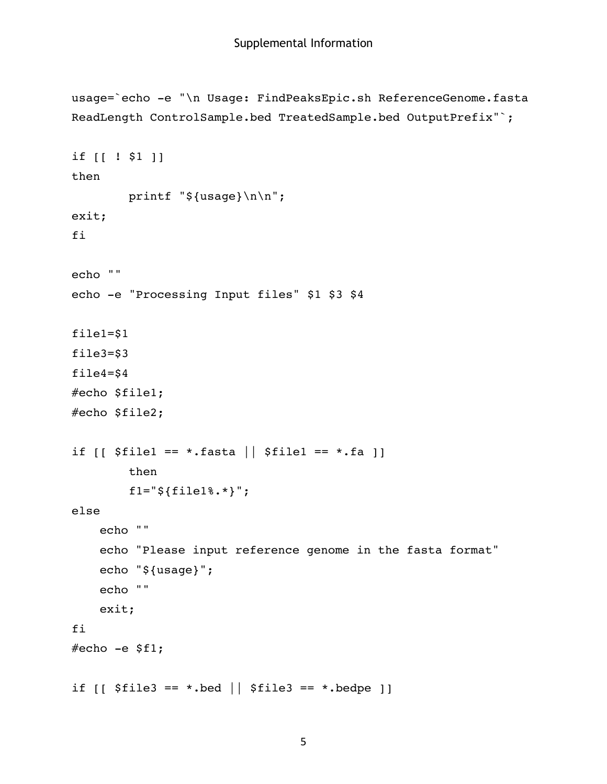```
usage=`echo -e "\n Usage: FindPeaksEpic.sh ReferenceGenome.fasta 
ReadLength ControlSample.bed TreatedSample.bed OutputPrefix"`;
if [[ ! $1 ]]
then
         printf "${usage}\n\n";
exit;
fi
echo ""
echo -e "Processing Input files" $1 $3 $4
file1=$1
file3=$3
file4=$4
#echo $file1;
#echo $file2;
if [ $file1 == *.fasta | $file1 == *.fa ]]
         then
        f1 = "§ {file18.*} ";
else
    echo ""
    echo "Please input reference genome in the fasta format"
    echo "${usage}";
    echo ""
    exit;
fi
#echo -e$fl;
if [ [ $ file3 == *.bed || $ file3 == *.bedpe ]]
```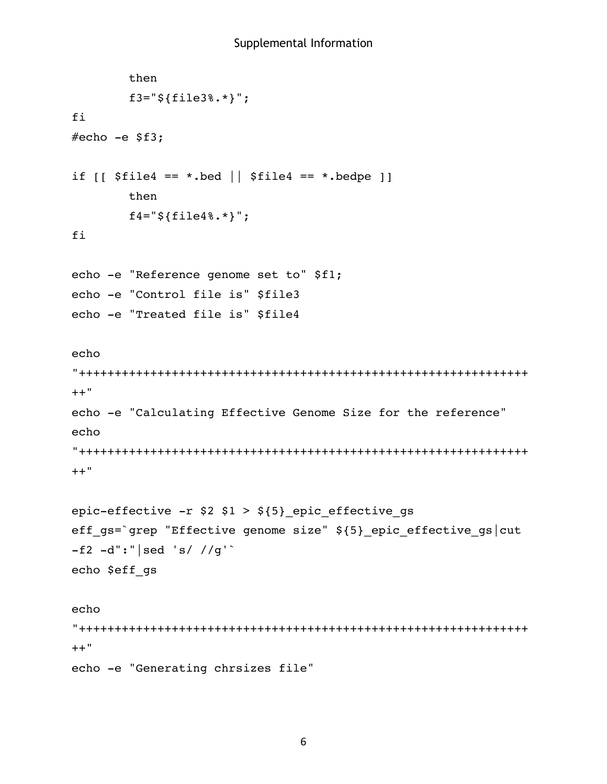```
 then
         f3="${file3%.*}";
fi
#echo -e $f3;
if [ $file4 == *.bed | $file4 == *.bedpe ]]
         then
         f4="${file4%.*}";
fi
echo -e "Reference genome set to" $f1;
echo -e "Control file is" $file3
echo -e "Treated file is" $file4
echo 
"+++++++++++++++++++++++++++++++++++++++++++++++++++++++++++++++
++"echo -e "Calculating Effective Genome Size for the reference"
echo 
"+++++++++++++++++++++++++++++++++++++++++++++++++++++++++++++++
++"epic-effective -r $2 $1 > ${5}_epic_effective_gs 
eff gs=`grep "Effective genome size" ${5} epic effective gs|cut
-f2 - d":" | sed 's/ //g'
echo $eff_gs
echo 
"+++++++++++++++++++++++++++++++++++++++++++++++++++++++++++++++
++"echo -e "Generating chrsizes file"
```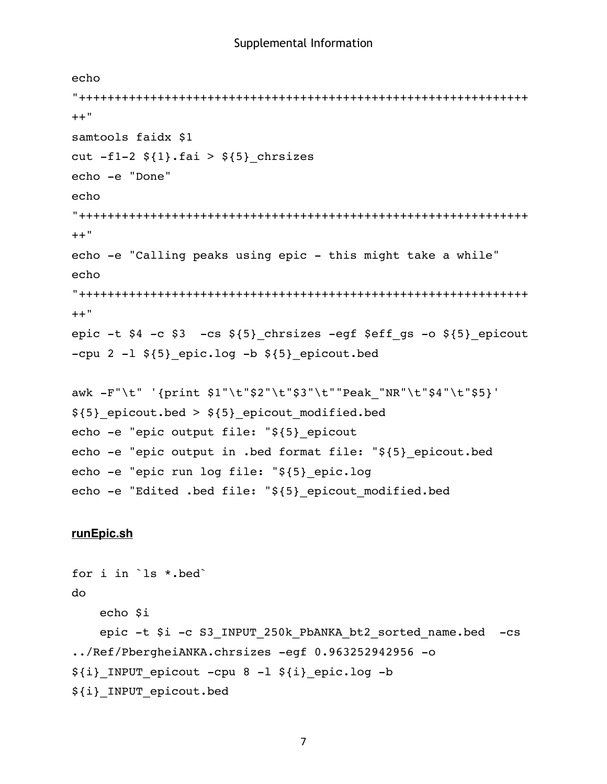```
echo 
"+++++++++++++++++++++++++++++++++++++++++++++++++++++++++++++++
++"samtools faidx $1
cut -f1-2 \S{1}.fai > \S{5} chrsizes
echo -e "Done"
echo 
"+++++++++++++++++++++++++++++++++++++++++++++++++++++++++++++++
++"
echo -e "Calling peaks using epic - this might take a while"
echo 
"+++++++++++++++++++++++++++++++++++++++++++++++++++++++++++++++
++"
epic -t $4 -c $3 -cs ${5} chrsizes -egf $eff qs -o ${5} epicout
-cpu 2 -1 \S{5} epic.log -b \S{5} epicout.bed
awk -F"\t" '{print $1"\t"$2"\t"$3"\t""Peak_"NR"\t"$4"\t"$5}' 
${5}_epicout.bed > ${5}_epicout_modified.bed
echo -e "epic output file: "${5}_epicout
echo -e "epic output in .bed format file: "${5}_epicout.bed
echo -e "epic run log file: "${5}_epic.log
echo -e "Edited .bed file: "${5}_epicout_modified.bed
```
#### **runEpic.sh**

```
for i in `ls *.bed`
do
   echo $i
    epic -t $i -c S3_INPUT_250k_PbANKA_bt2_sorted_name.bed -cs 
../Ref/PbergheiANKA.chrsizes -egf 0.963252942956 -o 
${i} INPUT epicout -cpu 8 -l ${i} epic.log -b
${i}_INPUT_epicout.bed
```